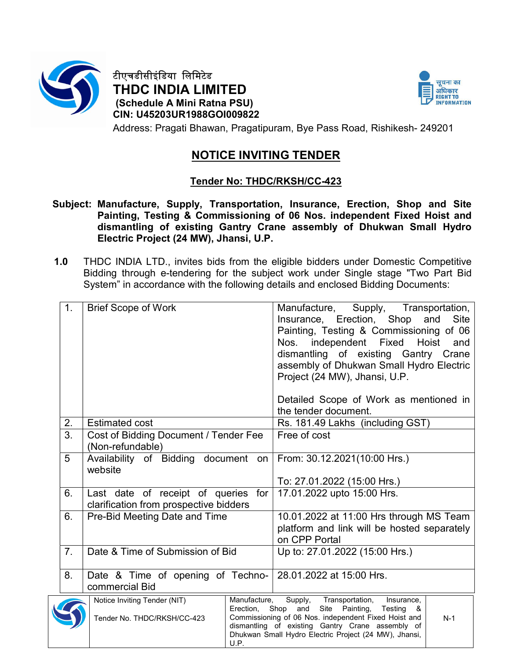

 $\sqrt$ 

टीएचडीसीइंिडया िलिमटेड THDC INDIA LIMITED (Schedule A Mini Ratna PSU) CIN: U45203UR1988GOI009822



Address: Pragati Bhawan, Pragatipuram, Bye Pass Road, Rishikesh- 249201

# NOTICE INVITING TENDER

# Tender No: THDC/RKSH/CC-423

- Subject: Manufacture, Supply, Transportation, Insurance, Erection, Shop and Site Painting, Testing & Commissioning of 06 Nos. independent Fixed Hoist and dismantling of existing Gantry Crane assembly of Dhukwan Small Hydro Electric Project (24 MW), Jhansi, U.P.
- 1.0 THDC INDIA LTD., invites bids from the eligible bidders under Domestic Competitive Bidding through e-tendering for the subject work under Single stage "Two Part Bid System" in accordance with the following details and enclosed Bidding Documents:

| 1.               | <b>Brief Scope of Work</b>                                                                            | Manufacture, Supply, Transportation,<br>Insurance, Erection, Shop<br>and<br><b>Site</b><br>Painting, Testing & Commissioning of 06<br>Nos. independent Fixed Hoist<br>and<br>dismantling of existing Gantry Crane<br>assembly of Dhukwan Small Hydro Electric<br>Project (24 MW), Jhansi, U.P. |
|------------------|-------------------------------------------------------------------------------------------------------|------------------------------------------------------------------------------------------------------------------------------------------------------------------------------------------------------------------------------------------------------------------------------------------------|
|                  |                                                                                                       | Detailed Scope of Work as mentioned in<br>the tender document.                                                                                                                                                                                                                                 |
| 2.               | <b>Estimated cost</b>                                                                                 | Rs. 181.49 Lakhs (including GST)                                                                                                                                                                                                                                                               |
| $\overline{3}$ . | Cost of Bidding Document / Tender Fee<br>(Non-refundable)                                             | Free of cost                                                                                                                                                                                                                                                                                   |
| 5                | Availability of Bidding document on<br>website                                                        | From: 30.12.2021(10:00 Hrs.)                                                                                                                                                                                                                                                                   |
|                  |                                                                                                       | To: 27.01.2022 (15:00 Hrs.)                                                                                                                                                                                                                                                                    |
| 6.               | Last date of receipt of queries for<br>clarification from prospective bidders                         | 17.01.2022 upto 15:00 Hrs.                                                                                                                                                                                                                                                                     |
| 6.               | Pre-Bid Meeting Date and Time                                                                         | 10.01.2022 at 11:00 Hrs through MS Team                                                                                                                                                                                                                                                        |
|                  |                                                                                                       | platform and link will be hosted separately                                                                                                                                                                                                                                                    |
|                  |                                                                                                       | on CPP Portal                                                                                                                                                                                                                                                                                  |
| 7 <sub>1</sub>   | Date & Time of Submission of Bid                                                                      | Up to: 27.01.2022 (15:00 Hrs.)                                                                                                                                                                                                                                                                 |
| 8.               | Date & Time of opening of Techno-<br>commercial Bid                                                   | 28.01.2022 at 15:00 Hrs.                                                                                                                                                                                                                                                                       |
|                  | Notice Inviting Tender (NIT)<br>Manufacture,<br>Erection, Shop<br>Tender No. THDC/RKSH/CC-423<br>U.P. | Transportation,<br>Supply,<br>Insurance,<br>Site Painting,<br>and<br>Testing<br>- &<br>Commissioning of 06 Nos. independent Fixed Hoist and<br>$N-1$<br>dismantling of existing Gantry Crane assembly of<br>Dhukwan Small Hydro Electric Project (24 MW), Jhansi,                              |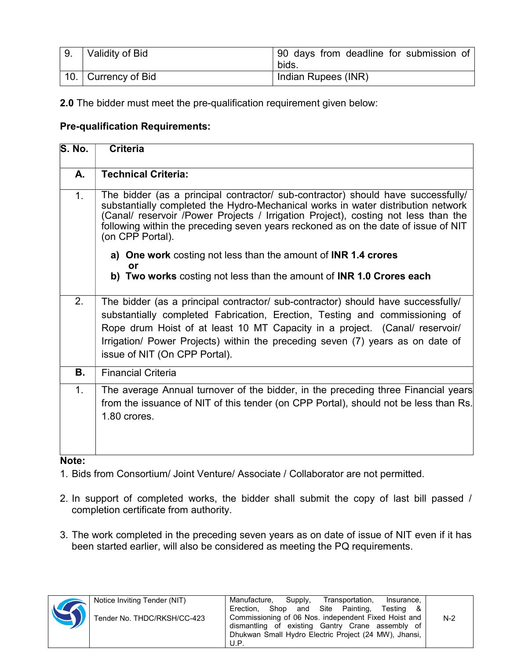| Validity of Bid             | 90 days from deadline for submission of<br>bids. |
|-----------------------------|--------------------------------------------------|
| $\vert$ 10. Currency of Bid | Indian Rupees (INR)                              |

2.0 The bidder must meet the pre-qualification requirement given below:

### Pre-qualification Requirements:

| <b>S. No.</b> | <b>Criteria</b>                                                                                                                                                                                                                                                                                                                                                      |
|---------------|----------------------------------------------------------------------------------------------------------------------------------------------------------------------------------------------------------------------------------------------------------------------------------------------------------------------------------------------------------------------|
| A.            | <b>Technical Criteria:</b>                                                                                                                                                                                                                                                                                                                                           |
| 1.            | The bidder (as a principal contractor/ sub-contractor) should have successfully/<br>substantially completed the Hydro-Mechanical works in water distribution network<br>(Canal/ reservoir /Power Projects / Irrigation Project), costing not less than the<br>following within the preceding seven years reckoned as on the date of issue of NIT<br>(on CPP Portal). |
|               | a) One work costing not less than the amount of INR 1.4 crores                                                                                                                                                                                                                                                                                                       |
|               | <b>or</b><br>b) Two works costing not less than the amount of INR 1.0 Crores each                                                                                                                                                                                                                                                                                    |
| 2.            | The bidder (as a principal contractor/ sub-contractor) should have successfully/<br>substantially completed Fabrication, Erection, Testing and commissioning of<br>Rope drum Hoist of at least 10 MT Capacity in a project. (Canal/ reservoir/<br>Irrigation/ Power Projects) within the preceding seven (7) years as on date of<br>issue of NIT (On CPP Portal).    |
| <b>B.</b>     | <b>Financial Criteria</b>                                                                                                                                                                                                                                                                                                                                            |
| 1.            | The average Annual turnover of the bidder, in the preceding three Financial years<br>from the issuance of NIT of this tender (on CPP Portal), should not be less than Rs.<br>1.80 crores.                                                                                                                                                                            |

#### Note:

1. Bids from Consortium/ Joint Venture/ Associate / Collaborator are not permitted.

- 2. In support of completed works, the bidder shall submit the copy of last bill passed / completion certificate from authority.
- 3. The work completed in the preceding seven years as on date of issue of NIT even if it has been started earlier, will also be considered as meeting the PQ requirements.

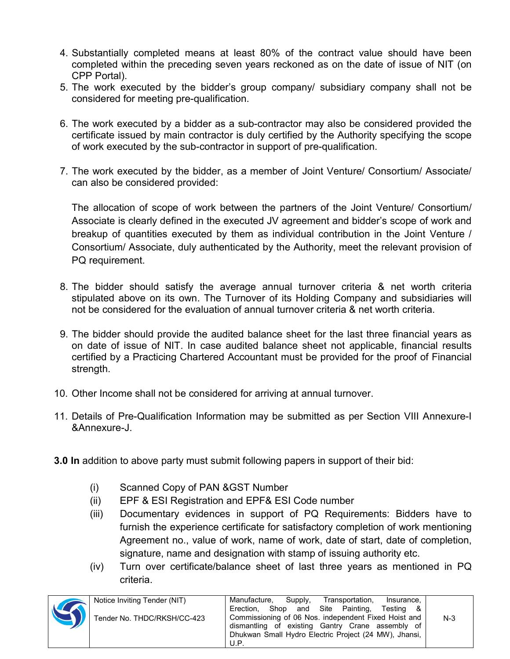- 4. Substantially completed means at least 80% of the contract value should have been completed within the preceding seven years reckoned as on the date of issue of NIT (on CPP Portal).
- 5. The work executed by the bidder's group company/ subsidiary company shall not be considered for meeting pre-qualification.
- 6. The work executed by a bidder as a sub-contractor may also be considered provided the certificate issued by main contractor is duly certified by the Authority specifying the scope of work executed by the sub-contractor in support of pre-qualification.
- 7. The work executed by the bidder, as a member of Joint Venture/ Consortium/ Associate/ can also be considered provided:

 The allocation of scope of work between the partners of the Joint Venture/ Consortium/ Associate is clearly defined in the executed JV agreement and bidder's scope of work and breakup of quantities executed by them as individual contribution in the Joint Venture / Consortium/ Associate, duly authenticated by the Authority, meet the relevant provision of PQ requirement.

- 8. The bidder should satisfy the average annual turnover criteria & net worth criteria stipulated above on its own. The Turnover of its Holding Company and subsidiaries will not be considered for the evaluation of annual turnover criteria & net worth criteria.
- 9. The bidder should provide the audited balance sheet for the last three financial years as on date of issue of NIT. In case audited balance sheet not applicable, financial results certified by a Practicing Chartered Accountant must be provided for the proof of Financial strength.
- 10. Other Income shall not be considered for arriving at annual turnover.
- 11. Details of Pre-Qualification Information may be submitted as per Section VIII Annexure-I &Annexure-J.
- 3.0 In addition to above party must submit following papers in support of their bid:
	- (i) Scanned Copy of PAN &GST Number
	- (ii) EPF & ESI Registration and EPF& ESI Code number
	- (iii) Documentary evidences in support of PQ Requirements: Bidders have to furnish the experience certificate for satisfactory completion of work mentioning Agreement no., value of work, name of work, date of start, date of completion, signature, name and designation with stamp of issuing authority etc.
	- (iv) Turn over certificate/balance sheet of last three years as mentioned in PQ criteria.

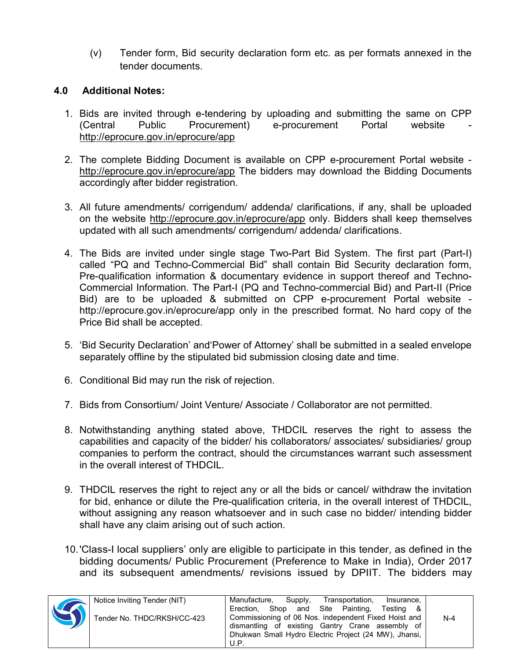(v) Tender form, Bid security declaration form etc. as per formats annexed in the tender documents.

## 4.0 Additional Notes:

- 1. Bids are invited through e-tendering by uploading and submitting the same on CPP (Central Public Procurement) e-procurement Portal website http://eprocure.gov.in/eprocure/app
- 2. The complete Bidding Document is available on CPP e-procurement Portal website http://eprocure.gov.in/eprocure/app The bidders may download the Bidding Documents accordingly after bidder registration.
- 3. All future amendments/ corrigendum/ addenda/ clarifications, if any, shall be uploaded on the website http://eprocure.gov.in/eprocure/app only. Bidders shall keep themselves updated with all such amendments/ corrigendum/ addenda/ clarifications.
- 4. The Bids are invited under single stage Two-Part Bid System. The first part (Part-I) called "PQ and Techno-Commercial Bid" shall contain Bid Security declaration form, Pre-qualification information & documentary evidence in support thereof and Techno-Commercial Information. The Part-I (PQ and Techno-commercial Bid) and Part-II (Price Bid) are to be uploaded & submitted on CPP e-procurement Portal website http://eprocure.gov.in/eprocure/app only in the prescribed format. No hard copy of the Price Bid shall be accepted.
- 5. 'Bid Security Declaration' and'Power of Attorney' shall be submitted in a sealed envelope separately offline by the stipulated bid submission closing date and time.
- 6. Conditional Bid may run the risk of rejection.
- 7. Bids from Consortium/ Joint Venture/ Associate / Collaborator are not permitted.
- 8. Notwithstanding anything stated above, THDCIL reserves the right to assess the capabilities and capacity of the bidder/ his collaborators/ associates/ subsidiaries/ group companies to perform the contract, should the circumstances warrant such assessment in the overall interest of THDCIL.
- 9. THDCIL reserves the right to reject any or all the bids or cancel/ withdraw the invitation for bid, enhance or dilute the Pre-qualification criteria, in the overall interest of THDCIL, without assigning any reason whatsoever and in such case no bidder/ intending bidder shall have any claim arising out of such action.
- 10. 'Class-I local suppliers' only are eligible to participate in this tender, as defined in the bidding documents/ Public Procurement (Preference to Make in India), Order 2017 and its subsequent amendments/ revisions issued by DPIIT. The bidders may